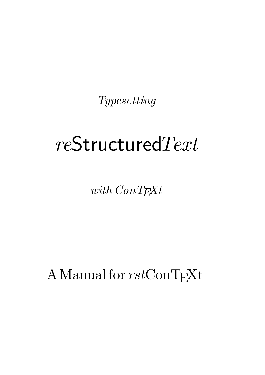*Typesetting*

# *re*Structured*Text*

*with ConTEXt*

A Manual for  $rstConT<sub>F</sub>Xt$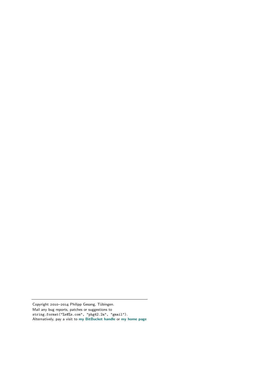Copyright 2010–2014 Philipp Gesang, Tübingen.

Mail any bug reports, patches or suggestions to string.format("%s@%s.com", "phg42.2a", "gmail"). Alternatively, pay a visit to **[my BitBucket handle](http://bitbucket.org/phg/)** or **[my home page](https://phi-gamma.net/coding)**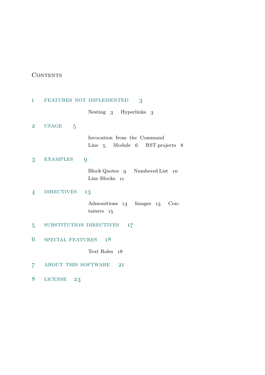# **CONTENTS**

| $\mathbf{1}$   | FEATURES NOT IMPLEMENTED<br>3                                 |
|----------------|---------------------------------------------------------------|
|                | Nesting 3 Hyperlinks 3                                        |
| $\overline{2}$ | <b>USAGE</b><br>$\overline{5}$                                |
|                | Invocation from the Command<br>Line 5 Module 6 RST projects 8 |
| 3              | <b>EXAMPLES</b><br>9                                          |
|                | Block Quotes 9 Numbered List<br>10<br>Line Blocks 11          |
| 4              | <b>DIRECTIVES</b><br>13                                       |
|                | Admonitions 13 Images 13<br>$Con-$<br>tainers<br>15           |
| 5              | SUBSTITUTION DIRECTIVES<br>17                                 |
| 6              | SPECIAL FEATURES 18                                           |
|                | Text Roles 18                                                 |
| 7              | ABOUT THIS SOFTWARE<br>21                                     |
| 8              | LICENSE<br>23                                                 |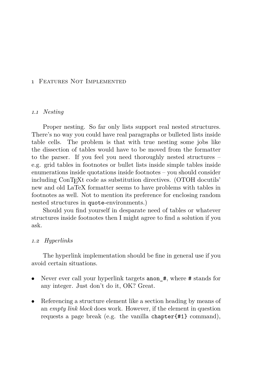# <span id="page-4-0"></span>1 Features Not Implemented

# *1.1 Nesting*

Proper nesting. So far only lists support real nested structures. There's no way you could have real paragraphs or bulleted lists inside table cells. The problem is that with true nesting some jobs like the dissection of tables would have to be moved from the formatter to the parser. If you feel you need thoroughly nested structures – e.g. grid tables in footnotes or bullet lists inside simple tables inside enumerations inside quotations inside footnotes – you should consider including ConTEXt code as substitution directives. (OTOH docutils' new and old LaTeX formatter seems to have problems with tables in footnotes as well. Not to mention its preference for enclosing random nested structures in quote-environments.)

Should you find yourself in desparate need of tables or whatever structures inside footnotes then I might agree to find a solution if you ask.

#### *1.2 Hyperlinks*

The hyperlink implementation should be fine in general use if you avoid certain situations.

- Never ever call your hyperlink targets anon  $#$ , where  $#$  stands for any integer. Just don't do it, OK? Great.
- Referencing a structure element like a section heading by means of an *empty link block* does work. However, if the element in question requests a page break (e.g. the vanilla chapter{#1} command),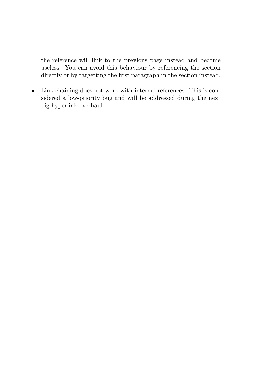the reference will link to the previous page instead and become useless. You can avoid this behaviour by referencing the section directly or by targetting the first paragraph in the section instead.

• Link chaining does not work with internal references. This is considered a low-priority bug and will be addressed during the next big hyperlink overhaul.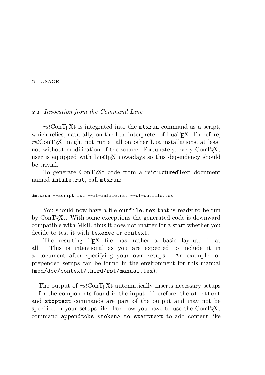# <span id="page-6-0"></span>2 Usage

#### *2.1 Invocation from the Command Line*

rst<sup>C</sup>onT<sub>E</sub>X<sup>t</sup> is integrated into the **mtxrun** command as a script, which relies, naturally, on the Lua interpreter of LuaT<sub>EX</sub>. Therefore, *rst*ConTEXt might not run at all on other Lua installations, at least not without modification of the source. Fortunately, every ConTEXt user is equipped with LuaT<sub>EX</sub> nowadays so this dependency should be trivial.

To generate ConTEXt code from a reStructuredText document named infile.rst, call mtxrun:

#### \$mtxrun --script rst --if=infile.rst --of=outfile.tex

You should now have a file outfile.tex that is ready to be run by ConT<sub>E</sub>Xt. With some exceptions the generated code is downward compatible with MkII, thus it does not matter for a start whether you decide to test it with texexec or context.

The resulting T<sub>EX</sub> file has rather a basic layout, if at all. This is intentional as you are expected to include it in a document after specifying your own setups. An example for prepended setups can be found in the environment for this manual (mod/doc/context/third/rst/manual.tex).

The output of  $rstConTrXt$  automatically inserts necessary setups for the components found in the input. Therefore, the starttext and stoptext commands are part of the output and may not be

specified in your setups file. For now you have to use the ConT<sub>E</sub>Xt command appendtoks <token> to starttext to add content like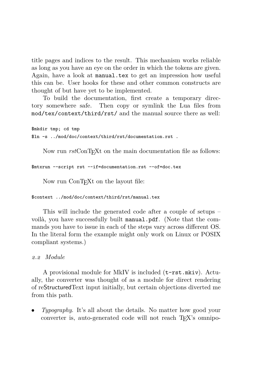title pages and indices to the result. This mechanism works reliable as long as you have an eye on the order in which the tokens are given. Again, have a look at manual.tex to get an impression how useful this can be. User hooks for these and other common constructs are thought of but have yet to be implemented.

To build the documentation, first create a temporary directory somewhere safe. Then copy or symlink the Lua files from mod/tex/context/third/rst/ and the manual source there as well:

```
$mkdir tmp; cd tmp
$ln -s ../mod/doc/context/third/rst/documentation.rst .
```
Now run *rst*ConT<sub>E</sub>X<sub>t</sub> on the main documentation file as follows:

```
$mtxrun --script rst --if=documentation.rst --of=doc.tex
```
Now run ConT<sub>EX</sub>t on the layout file:

\$context ../mod/doc/context/third/rst/manual.tex

This will include the generated code after a couple of setups – voilà, you have successfully built manual.pdf. (Note that the commands you have to issue in each of the steps vary across different OS. In the literal form the example might only work on Linux or POSIX compliant systems.)

*2.2 Module*

A provisional module for MkIV is included (t-rst.mkiv). Actually, the converter was thought of as a module for direct rendering of reStructuredText input initially, but certain objections diverted me from this path.

• *Typography*. It's all about the details. No matter how good your converter is, auto-generated code will not reach T<sub>EX</sub>'s omnipo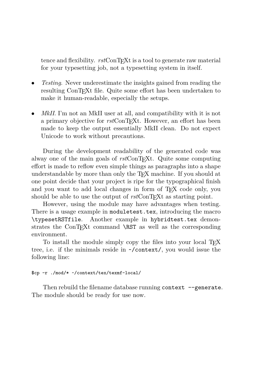tence and flexibility. *rst*ConT<sub>E</sub>Xt is a tool to generate raw material for your typesetting job, not a typesetting system in itself.

- *Testing*. Never underestimate the insights gained from reading the resulting ConT<sub>E</sub>Xt file. Quite some effort has been undertaken to make it human-readable, especially the setups.
- *MkII*. I'm not an MkII user at all, and compatibility with it is not a primary objective for  $rstConTrXt$ . However, an effort has been made to keep the output essentially MkII clean. Do not expect Unicode to work without precautions.

During the development readability of the generated code was alway one of the main goals of  $rstConTrXt$ . Quite some computing effort is made to reflow even simple things as paragraphs into a shape understandable by more than only the T<sub>E</sub>X machine. If you should at one point decide that your project is ripe for the typographical finish and you want to add local changes in form of T<sub>EX</sub> code only, you should be able to use the output of  $rstConTr Xt$  as starting point.

However, using the module may have advantages when testing. There is a usage example in moduletest.tex, introducing the macro \typesetRSTfile. Another example in hybridtest.tex demonstrates the ConT<sub>EXt</sub> command \RST as well as the corresponding environment.

To install the module simply copy the files into your local T<sub>E</sub>X tree, i.e. if the minimals reside in ~/context/, you would issue the following line:

# \$cp -r ./mod/\* ~/context/tex/texmf-local/

Then rebuild the filename database running context --generate. The module should be ready for use now.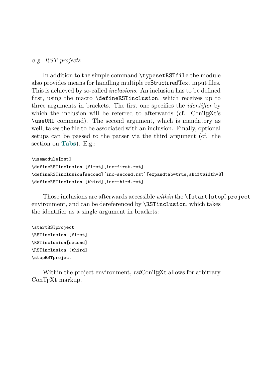# *2.3 RST projects*

In addition to the simple command \typesetRSTfile the module also provides means for handling multiple reStructuredText input files. This is achieved by so-called *inclusions*. An inclusion has to be defined first, using the macro \defineRSTinclusion, which receives up to three arguments in brackets. The first one specifies the *identifier* by which the inclusion will be referred to afterwards (cf.  $ConT_FXt's$ ) \useURL command). The second argument, which is mandatory as well, takes the file to be associated with an inclusion. Finally, optional setups can be passed to the parser via the third argument (cf. the section on **[Tabs](#page-20-0)**). E.g.:

```
\usemodule[rst]
\defineRSTinclusion [first][inc-first.rst]
\defineRSTinclusion[second][inc-second.rst][expandtab=true,shiftwidth=8]
\defineRSTinclusion [third][inc-third.rst]
```
Those inclusions are afterwards accessible *within* the \[start|stop]project environment, and can be dereferenced by \RSTinclusion, which takes the identifier as a single argument in brackets:

```
\startRSTproject
\RSTinclusion [first]
\RSTinclusion[second]
\RSTinclusion [third]
\stopRSTproject
```
Within the project environment, *rst*ConT<sub>EX</sub><sup>t</sup> allows for arbitrary ConTEXt markup.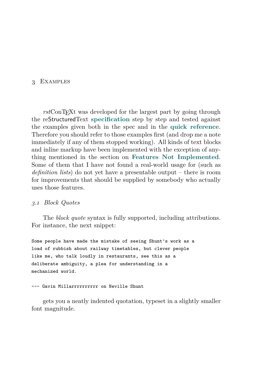# <span id="page-10-0"></span>3 Examples

*rst*ConTEXt was developed for the largest part by going through the reStructuredText **[specification](http://docutils.sourceforge.net/docs/ref/rst/restructuredtext.html)** step by step and tested against the examples given both in the spec and in the **[quick reference](http://docutils.sourceforge.net/docs/user/rst/quickref.html)**. Therefore you should refer to those examples first (and drop me a note immediately if any of them stopped working). All kinds of text blocks and inline markup have been implemented with the exception of anything mentioned in the section on **[Features Not Implemented](#page-4-0)**. Some of them that I have not found a real-world usage for (such as *definition lists*) do not yet have a presentable output – there is room for improvements that should be supplied by somebody who actually uses those features.

#### *3.1 Block Quotes*

The *block quote* syntax is fully supported, including attributions. For instance, the next snippet:

Some people have made the mistake of seeing Shunt's work as a load of rubbish about railway timetables, but clever people like me, who talk loudly in restaurants, see this as a deliberate ambiguity, a plea for understanding in a mechanized world.

#### --- Gavin Millarrrrrrrrrr on Neville Shunt

gets you a neatly indented quotation, typeset in a slightly smaller font magnitude.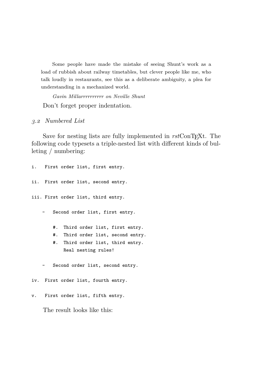Some people have made the mistake of seeing Shunt's work as a load of rubbish about railway timetables, but clever people like me, who talk loudly in restaurants, see this as a deliberate ambiguity, a plea for understanding in a mechanized world.

*Gavin Millarrrrrrrrrr on Neville Shunt* Don't forget proper indentation.

*3.2 Numbered List*

Save for nesting lists are fully implemented in  $rstConTrXt$ . The following code typesets a triple-nested list with different kinds of bulleting / numbering:

i. First order list, first entry. ii. First order list, second entry. iii. First order list, third entry. Second order list, first entry. #. Third order list, first entry. #. Third order list, second entry. #. Third order list, third entry. Real nesting rules! Second order list, second entry. iv. First order list, fourth entry. v. First order list, fifth entry.

The result looks like this: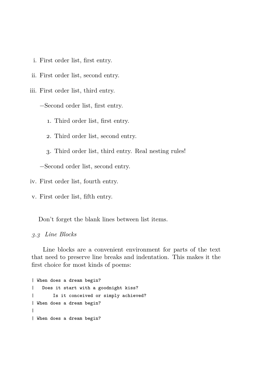- i. First order list, first entry.
- ii. First order list, second entry.

iii. First order list, third entry.

−Second order list, first entry.

1. Third order list, first entry.

2. Third order list, second entry.

3. Third order list, third entry. Real nesting rules!

−Second order list, second entry.

iv. First order list, fourth entry.

v. First order list, fifth entry.

Don't forget the blank lines between list items.

*3.3 Line Blocks*

Line blocks are a convenient environment for parts of the text that need to preserve line breaks and indentation. This makes it the first choice for most kinds of poems:

```
| When does a dream begin?
| Does it start with a goodnight kiss?
| Is it conceived or simply achieved?
| When does a dream begin?
|
| When does a dream begin?
```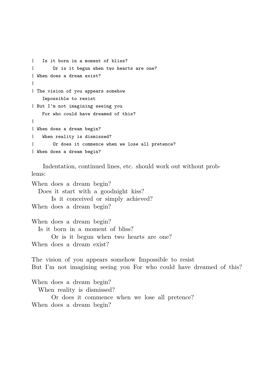```
| Is it born in a moment of bliss?
       Or is it begun when two hearts are one?
| When does a dream exist?
|
| The vision of you appears somehow
   Impossible to resist
| But I'm not imagining seeing you
   For who could have dreamed of this?
|
| When does a dream begin?
   When reality is dismissed?
       Or does it commence when we lose all pretence?
| When does a dream begin?
```
Indentation, continued lines, etc. should work out without problems:

When does a dream begin? Does it start with a goodnight kiss? Is it conceived or simply achieved? When does a dream begin? When does a dream begin? Is it born in a moment of bliss? Or is it begun when two hearts are one? When does a dream exist? The vision of you appears somehow Impossible to resist

But I'm not imagining seeing you For who could have dreamed of this?

When does a dream begin?

When reality is dismissed?

 Or does it commence when we lose all pretence? When does a dream begin?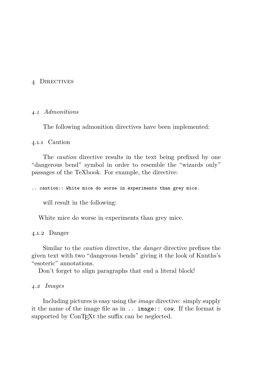#### <span id="page-14-0"></span>4 Directives

#### *4.1 Admonitions*

The following admonition directives have been implemented:

#### 4.1.1 Caution

The *caution* directive results in the text being prefixed by one "dangerous bend" symbol in order to resemble the "wizards only" passages of the TeXbook. For example, the directive:

.. caution:: White mice do worse in experiments than grey mice.

will result in the following:

White mice do worse in experiments than grey mice.

### 4.1.2 Danger

Similar to the *caution* directive, the *danger* directive prefixes the given text with two "dangerous bends" giving it the look of Knuths's "esoteric" annotations.

Don't forget to align paragraphs that end a literal block!

#### *4.2 Images*

Including pictures is easy using the *image* directive: simply supply it the name of the image file as in .. image:: cow. If the format is supported by ConT<sub>EXt</sub> the suffix can be neglected.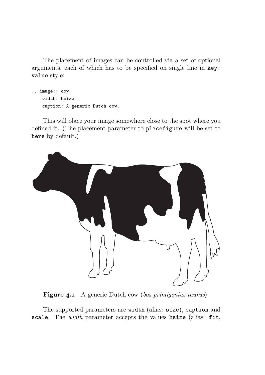The placement of images can be controlled via a set of optional arguments, each of which has to be specified on single line in key: value style:

```
.. image:: cow
   width: hsize
   caption: A generic Dutch cow.
```
This will place your image somewhere close to the spot where you defined it. (The placement parameter to placefigure will be set to here by default.)



**Figure 4.1** A generic Dutch cow (*bos primigenius taurus*).

The supported parameters are width (alias: size), caption and scale. The *width* parameter accepts the values hsize (alias: fit,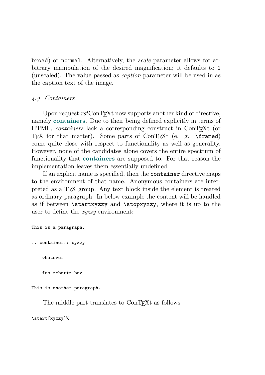broad) or normal. Alternatively, the *scale* parameter allows for arbitrary manipulation of the desired magnification; it defaults to 1 (unscaled). The value passed as *caption* parameter will be used in as the caption text of the image.

# *4.3 Containers*

Upon request  $rstConTrXt$  now supports another kind of directive, namely **[containers](http://docutils.sourceforge.net/docs/ref/rst/directives.html#container)**. Due to their being defined explicitly in terms of HTML, *containers* lack a corresponding construct in ConT<sub>E</sub>Xt (or T<sub>EX</sub> for that matter). Some parts of ConT<sub>EX</sub>t (e. g. \framed) come quite close with respect to functionality as well as generality. However, none of the candidates alone covers the entire spectrum of functionality that **[containers](http://docutils.sourceforge.net/docs/ref/rst/directives.html#container)** are supposed to. For that reason the implementation leaves them essentially undefined.

If an explicit name is specified, then the container directive maps to the environment of that name. Anonymous containers are interpreted as a TEX group. Any text block inside the element is treated as ordinary paragraph. In below example the content will be handled as if between \startxyzzy and \stopxyzzy, where it is up to the user to define the *xyzzy* environment:

```
This is a paragraph.
.. container:: xyzzy
    whatever
    foo **bar** baz
```
This is another paragraph.

The middle part translates to ConT<sub>E</sub>Xt as follows:

\start[xyzzy]%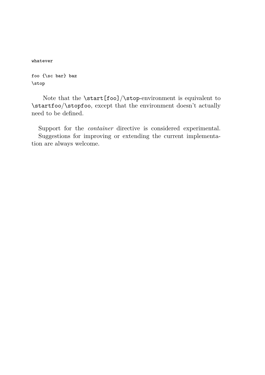whatever

foo {\sc bar} baz \stop

Note that the \start[foo]/\stop-environment is equivalent to \startfoo/\stopfoo, except that the environment doesn't actually need to be defined.

Support for the *container* directive is considered experimental. Suggestions for improving or extending the current implementation are always welcome.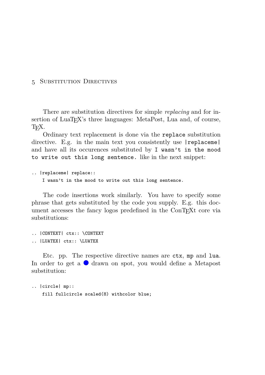#### <span id="page-18-0"></span>5 Substitution Directives

There are substitution directives for simple *replacing* and for insertion of LuaT<sub>EX</sub>'s three languages: MetaPost, Lua and, of course, T<sub>E</sub>X.

Ordinary text replacement is done via the replace substitution directive. E.g. in the main text you consistently use  $|$ replaceme $|$ and have all its occurences substituted by I wasn't in the mood to write out this long sentence. like in the next snippet:

```
.. |replaceme| replace::
   I wasn't in the mood to write out this long sentence.
```
The code insertions work similarly. You have to specify some phrase that gets substituted by the code you supply. E.g. this document accesses the fancy logos predefined in the ConTEXt core via substitutions:

```
.. |CONTEXT| ctx:: \CONTEXT
.. |LUATEX| ctx:: \LUATEX
```
Etc. pp. The respective directive names are ctx, mp and lua. In order to get a  $\bullet$  drawn on spot, you would define a Metapost substitution:

```
.. |circle| mp::
   fill fullcircle scaled(8) withcolor blue;
```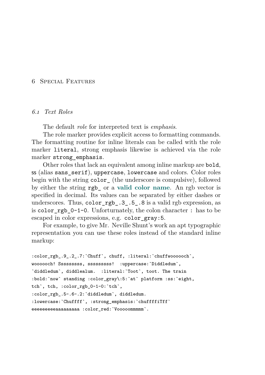#### <span id="page-19-0"></span>6 Special Features

#### *6.1 Text Roles*

The default *role* for interpreted text is *emphasis*.

The role marker provides explicit access to formatting commands. The formatting routine for inline literals can be called with the role marker literal, strong emphasis likewise is achieved via the role marker strong\_emphasis.

Other roles that lack an equivalent among inline markup are bold, ss (alias sans\_serif), uppercase, lowercase and colors. Color roles begin with the string color (the underscore is compulsive), followed by either the string rgb\_ or a **[valid color name](http://wiki.contextgarden.net/Colors#Using_predefined_colors:_.5Csetupcolor)**. An rgb vector is specified in decimal. Its values can be separated by either dashes or underscores. Thus, color  $rgb.3.5.8$  is a valid rgb expression, as is color rgb  $0-1-0$ . Unforturnately, the colon character : has to be escaped in color expressions, e.g. color\_gray:5.

For example, to give Mr. Neville Shunt's work an apt typographic representation you can use these roles instead of the standard inline markup:

```
:color_rgb_.9_.2_.7:`Chuff`, chuff, :literal:`chuffwoooooch`,
woooooch! Sssssssss, sssssssss! :uppercase:`Diddledum`,
`diddledum`, diddlealum. :literal:`Toot`, toot. The train
:bold:`now` standing :color_gray\:5:`at` platform :ss:`eight,
tch`, tch, :color_rgb_0-1-0:`tch`,
:color rgb .5-.6-.2:`diddledum`, diddledum.
:lowercase:`Chuffff`, :strong emphasis:`chuffffiTff`
eeeeeeeeaaaaaaaaa :color red: `Vooooommmmm`.
```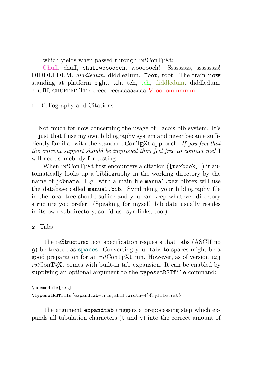which yields when passed through  $rstConTrXt$ :

Chuff, chuff, chuffwoooooch, woooooch! Ssssssssss, ssssssssss! DIDDLEDUM, *diddledum*, diddlealum. Toot, toot. The train **now** standing at platform eight, tch, tch, tch, diddledum, diddledum. chuffff, CHUFFFFITFF eeeeeeeeeaaaaaaaaa Vooooommmmm.

1 Bibliography and Citations

Not much for now concerning the usage of Taco's bib system. It's just that I use my own bibliography system and never became sufficiently familiar with the standard ConT<sub>EX</sub>t approach. If you feel that *the current support should be improved then feel free to contact me!* I will need somebody for testing.

When  $rstConTrXt$  first encounters a citation ([texbook] ) it automatically looks up a bibliography in the working directory by the name of jobname. E.g. with a main file manual.tex bibtex will use the database called manual.bib. Symlinking your bibliography file in the local tree should suffice and you can keep whatever directory structure you prefer. (Speaking for myself, bib data usually resides in its own subdirectory, so I'd use symlinks, too.)

# <span id="page-20-0"></span>2 Tabs

The reStructuredText specification requests that tabs (ASCII no 9) be treated as **[spaces](http://docutils.sourceforge.net/docs/ref/rst/restructuredtext.html#whitespace)**. Converting your tabs to spaces might be a good preparation for an *rst*ConT<sub>E</sub>X<sup>t</sup> run. However, as of version 123 rst ConT<sub>EX</sub>t comes with built-in tab expansion. It can be enabled by supplying an optional argument to the typesetRSTfile command:

# \usemodule[rst] \typesetRSTfile[expandtab=true,shiftwidth=4]{myfile.rst}

The argument expandtab triggers a prepocessing step which expands all tabulation characters (t and v) into the correct amount of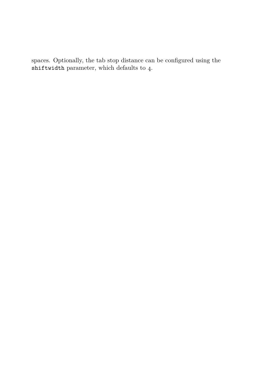spaces. Optionally, the tab stop distance can be configured using the shiftwidth parameter, which defaults to 4.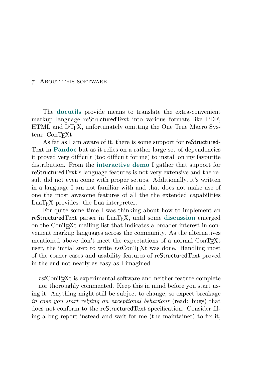#### <span id="page-22-0"></span>7 About this software

The **[docutils](http://docutils.sourceforge.net/)** provide means to translate the extra-convenient markup language reStructuredText into various formats like PDF, HTML and L<sup>A</sup>T<sub>E</sub>X, unfortunately omitting the One True Macro System: ConTEXt.

As far as I am aware of it, there is some support for reStructured-Text in **[Pandoc](http://johnmacfarlane.net/pandoc/)** but as it relies on a rather large set of dependencies it proved very difficult (too difficult for me) to install on my favourite distribution. From the **[interactive demo](http://johnmacfarlane.net/pandoc/try)** I gather that support for reStructuredText's language features is not very extensive and the result did not even come with proper setups. Additionally, it's written in a language I am not familiar with and that does not make use of one the most awesome features of all the the extended capabilities LuaTEX provides: the Lua interpreter.

For quite some time I was thinking about how to implement an reStructuredText parser in LuaTEX, until some **[discussion](http://archive.contextgarden.net/message/20100814.051917.28caafcd.en.html)** emerged on the ConT<sub>E</sub>X<sup>t</sup> mailing list that indicates a broader interest in convenient markup languages across the community. As the alternatives mentioned above don't meet the expectations of a normal ConTEXt user, the initial step to write  $rstConTRXt$  was done. Handling most of the corner cases and usability features of reStructuredText proved in the end not nearly as easy as I imagined.

rstConT<sub>E</sub>X<sup>t</sup> is experimental software and neither feature complete nor thoroughly commented. Keep this in mind before you start using it. Anything might still be subject to change, so expect breakage *in case you start relying on exceptional behaviour* (read: bugs) that does not conform to the reStructuredText specification. Consider filing a bug report instead and wait for me (the maintainer) to fix it,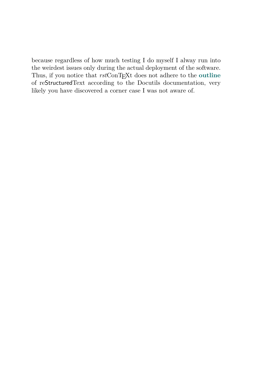because regardless of how much testing I do myself I alway run into the weirdest issues only during the actual deployment of the software. Thus, if you notice that  $rstConTrXt$  does not adhere to the **[outline](http://docutils.sourceforge.net/docs/ref/rst/restructuredtext.html)** of reStructuredText according to the Docutils documentation, very likely you have discovered a corner case I was not aware of.